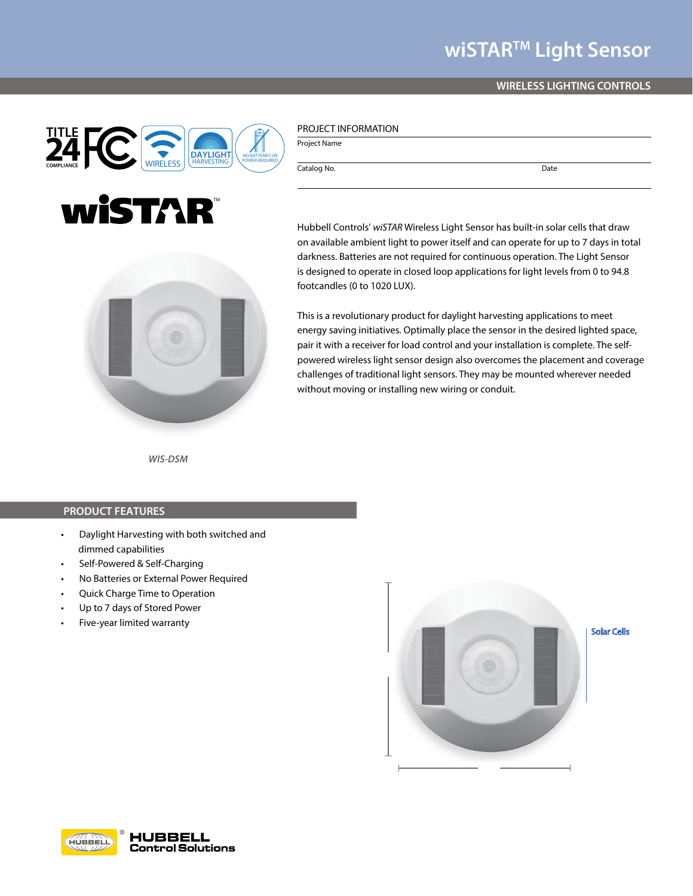## **wiSTARTM Light Sensor**

### **WIRELESS LIGHTING CONTROLS**



# wistAR®



Project Name

Catalog No. Date

on available ambient light to power itself and can operate for up to 7 days in total darkness. Batteries are not required for continuous operation. The Light Sensor is designed to operate in closed loop applications for light levels from 0 to 94.8 footcandles (0 to 1020 LUX).

This is a revolutionary product for daylight harvesting applications to meet energy saving initiatives. Optimally place the sensor in the desired lighted space, pair it with a receiver for load control and your installation is complete. The selfpowered wireless light sensor design also overcomes the placement and coverage challenges of traditional light sensors. They may be mounted wherever needed without moving or installing new wiring or conduit.

Hubbell Controls' *wiSTAR* Wireless Light Sensor has built-in solar cells that draw

*WIS-DSM*

#### **PRODUCT FEATURES**

- Daylight Harvesting with both switched and dimmed capabilities
- Self-Powered & Self-Charging
- No Batteries or External Power Required
- Quick Charge Time to Operation
- Up to 7 days of Stored Power
- Five-year limited warranty